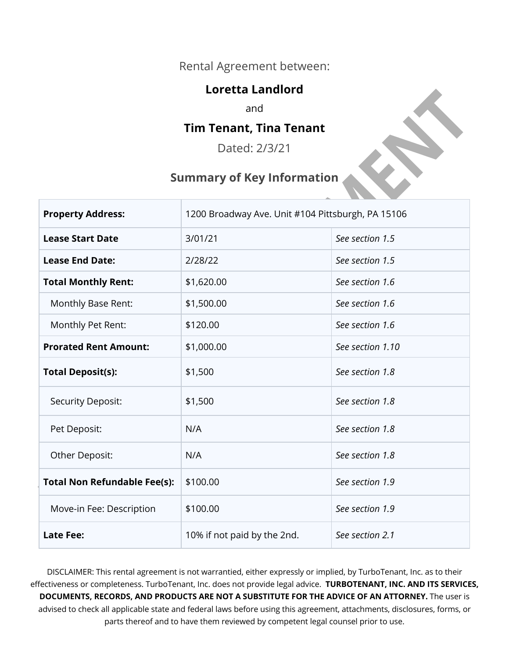#### Rental Agreement between:

#### **Loretta Landlord**

and

#### **Tim Tenant, Tina Tenant**

Dated: 2/3/21

#### **Summary of Key Information**

| <b>Property Address:</b>            | 1200 Broadway Ave. Unit #104 Pittsburgh, PA 15106 |                  |
|-------------------------------------|---------------------------------------------------|------------------|
| <b>Lease Start Date</b>             | 3/01/21                                           | See section 1.5  |
| <b>Lease End Date:</b>              | 2/28/22                                           | See section 1.5  |
| <b>Total Monthly Rent:</b>          | \$1,620.00                                        | See section 1.6  |
| Monthly Base Rent:                  | \$1,500.00                                        | See section 1.6  |
| Monthly Pet Rent:                   | \$120.00                                          | See section 1.6  |
| <b>Prorated Rent Amount:</b>        | \$1,000.00                                        | See section 1.10 |
| <b>Total Deposit(s):</b>            | \$1,500                                           | See section 1.8  |
| Security Deposit:                   | \$1,500                                           | See section 1.8  |
| Pet Deposit:                        | N/A                                               | See section 1.8  |
| Other Deposit:                      | N/A                                               | See section 1.8  |
| <b>Total Non Refundable Fee(s):</b> | \$100.00                                          | See section 1.9  |
| Move-in Fee: Description            | \$100.00                                          | See section 1.9  |
| <b>Late Fee:</b>                    | 10% if not paid by the 2nd.                       | See section 2.1  |

DISCLAIMER: This rental agreement is not warrantied, either expressly or implied, by TurboTenant, Inc. as to their effectiveness or completeness. TurboTenant, Inc. does not provide legal advice. **TURBOTENANT, INC. AND ITS SERVICES, DOCUMENTS, RECORDS, AND PRODUCTS ARE NOT A SUBSTITUTE FOR THE ADVICE OF AN ATTORNEY.** The user is advised to check all applicable state and federal laws before using this agreement, attachments, disclosures, forms, or parts thereof and to have them reviewed by competent legal counsel prior to use.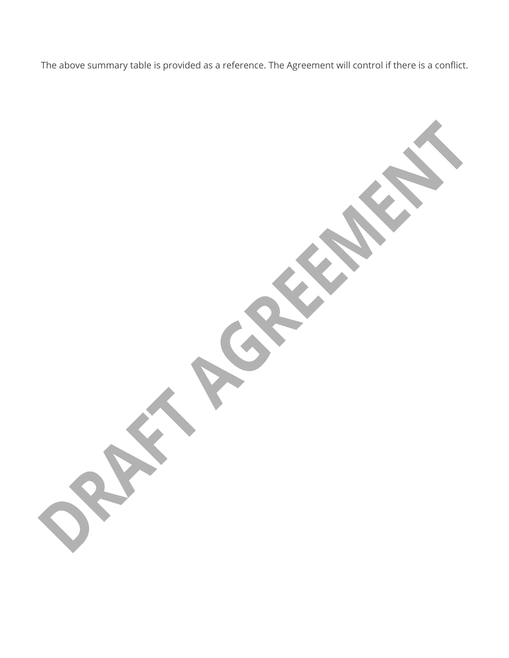The above summary table is provided as a reference. The Agreement will control if there is a conflict.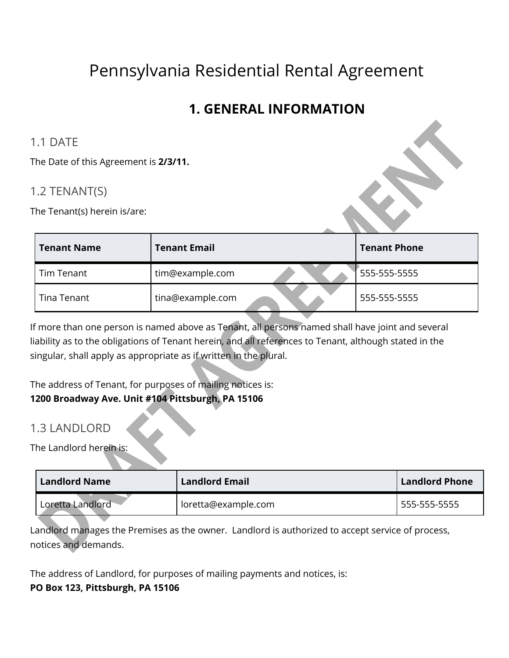# Pennsylvania Residential Rental Agreement

## **1. GENERAL INFORMATION**

#### 1.1 DATE

The Date of this Agreement is **2/3/11.** 

#### 1.2 TENANT(S)

The Tenant(s) herein is/are:

| <b>Tenant Name</b> | <b>Tenant Email</b> | <b>Tenant Phone</b> |
|--------------------|---------------------|---------------------|
| Tim Tenant         | tim@example.com     | 555-555-5555        |
| Tina Tenant        | tina@example.com    | 555-555-5555        |

If more than one person is named above as Tenant, all persons named shall have joint and several liability as to the obligations of Tenant herein, and all references to Tenant, although stated in the singular, shall apply as appropriate as if written in the plural.

The address of Tenant, for purposes of mailing notices is:

#### **1200 Broadway Ave. Unit #104 Pittsburgh, PA 15106**

#### 1.3 LANDLORD

The Landlord herein is:

| <b>Landlord Name</b> | <b>Landlord Email</b> | <b>Landlord Phone</b> |
|----------------------|-----------------------|-----------------------|
| Loretta Landlord     | loretta@example.com   | 555-555-5555          |

Landlord manages the Premises as the owner. Landlord is authorized to accept service of process, notices and demands.

The address of Landlord, for purposes of mailing payments and notices, is: **PO Box 123, Pittsburgh, PA 15106**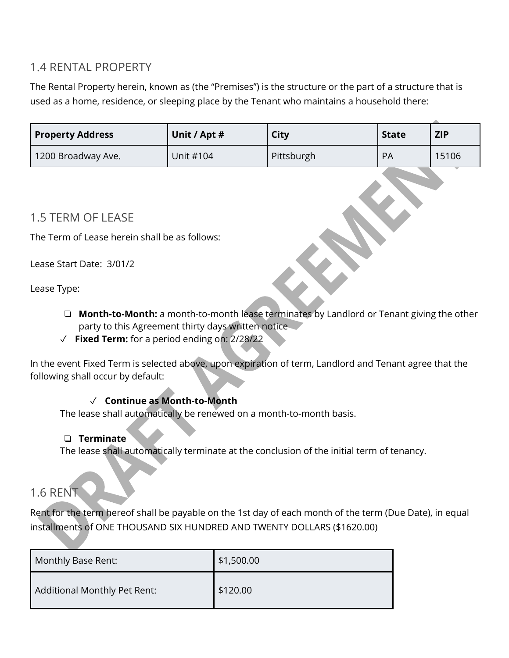#### 1.4 RENTAL PROPERTY

The Rental Property herein, known as (the "Premises") is the structure or the part of a structure that is used as a home, residence, or sleeping place by the Tenant who maintains a household there:

| <b>Property Address</b> | Unit / Apt # | City       | <b>State</b> | <b>ZIP</b> |
|-------------------------|--------------|------------|--------------|------------|
| 1200 Broadway Ave.      | Unit #104    | Pittsburgh | PA           | 15106      |

#### 1.5 TERM OF LEASE

The Term of Lease herein shall be as follows:

Lease Start Date:3/01/2

Lease Type:

- ❏ **Month-to-Month:** a month-to-month lease terminates by Landlord or Tenant giving the other party to this Agreement thirty days written notice
- ✓ **Fixed Term:** for a period ending on: 2/28/22

In the event Fixed Term is selected above, upon expiration of term, Landlord and Tenant agree that the following shall occur by default:

#### ✓ **Continue as Month-to-Month**

The lease shall automatically be renewed on a month-to-month basis.

#### ❏ **Terminate**

The lease shall automatically terminate at the conclusion of the initial term of tenancy.

## 1.6 RENT

Rent for the term hereof shall be payable on the 1st day of each month of the term (Due Date), in equal installments of ONE THOUSAND SIX HUNDRED AND TWENTY DOLLARS (\$1620.00)

| Monthly Base Rent:           | \$1,500.00 |
|------------------------------|------------|
| Additional Monthly Pet Rent: | \$120.00   |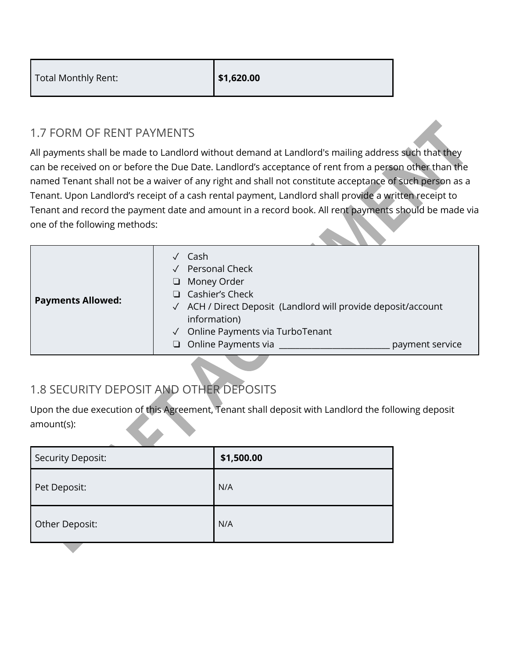| Total Monthly Rent: | \$1,620.00 |
|---------------------|------------|
|---------------------|------------|

#### 1.7 FORM OF RENT PAYMENTS

All payments shall be made to Landlord without demand at Landlord's mailing address such that they can be received on or before the Due Date. Landlord's acceptance of rent from a person other than the named Tenant shall not be a waiver of any right and shall not constitute acceptance of such person as a Tenant. Upon Landlord's receipt of a cash rental payment, Landlord shall provide a written receipt to Tenant and record the payment date and amount in a record book. All rent payments should be made via one of the following methods:

| <b>Payments Allowed:</b> | Cash<br><b>Personal Check</b><br>Money Order<br>⊔<br>$\Box$ Cashier's Check<br>√ ACH / Direct Deposit (Landlord will provide deposit/account<br>information)<br>Online Payments via TurboTenant<br>$\Box$ Online Payments via<br>payment service |
|--------------------------|--------------------------------------------------------------------------------------------------------------------------------------------------------------------------------------------------------------------------------------------------|

## 1.8 SECURITY DEPOSIT AND OTHER DEPOSITS

Upon the due execution of this Agreement, Tenant shall deposit with Landlord the following deposit amount(s):

| Security Deposit: | \$1,500.00 |
|-------------------|------------|
| Pet Deposit:      | N/A        |
| Other Deposit:    | N/A        |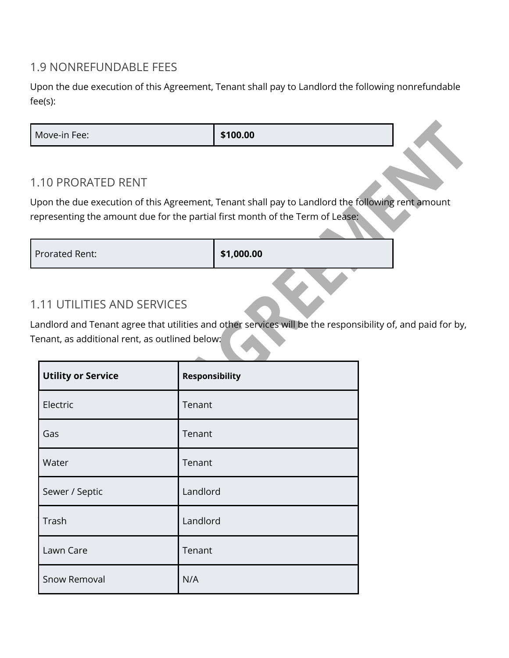#### 1.9 NONREFUNDABLE FEES

Upon the due execution of this Agreement, Tenant shall pay to Landlord the following nonrefundable fee(s):

**Move-in Fee: \$100.00** 

#### 1.10 PRORATED RENT

Upon the due execution of this Agreement, Tenant shall pay to Landlord the following rent amount representing the amount due for the partial first month of the Term of Lease:

Prorated Rent: **\$1,000.00** 

#### 1.11 UTILITIES AND SERVICES

Landlord and Tenant agree that utilities and other services will be the responsibility of, and paid for by, Tenant, as additional rent, as outlined below:

| <b>Utility or Service</b> | <b>Responsibility</b> |
|---------------------------|-----------------------|
| Electric                  | Tenant                |
| Gas                       | Tenant                |
| Water                     | Tenant                |
| Sewer / Septic            | Landlord              |
| Trash                     | Landlord              |
| Lawn Care                 | Tenant                |
| Snow Removal              | N/A                   |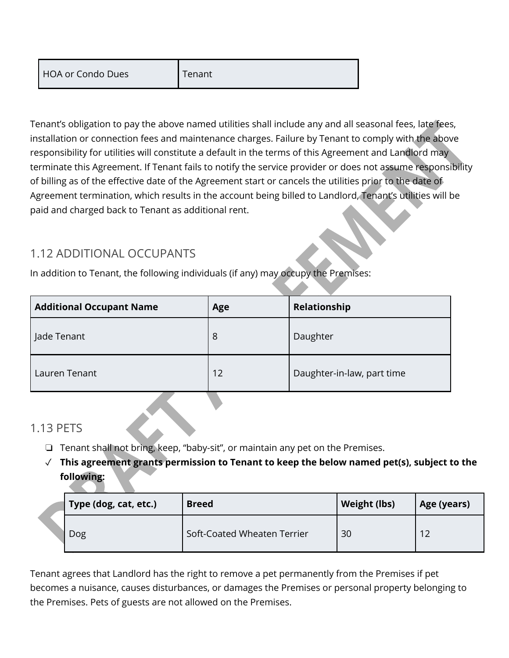Tenant

Tenant's obligation to pay the above named utilities shall include any and all seasonal fees, late fees, installation or connection fees and maintenance charges. Failure by Tenant to comply with the above responsibility for utilities will constitute a default in the terms of this Agreement and Landlord may terminate this Agreement. If Tenant fails to notify the service provider or does not assume responsibility of billing as of the effective date of the Agreement start or cancels the utilities prior to the date of Agreement termination, which results in the account being billed to Landlord, Tenant's utilities will be paid and charged back to Tenant as additional rent.

## 1.12 ADDITIONAL OCCUPANTS

In addition to Tenant, the following individuals (if any) may occupy the Premises:

| <b>Additional Occupant Name</b> | Age | Relationship               |
|---------------------------------|-----|----------------------------|
| Jade Tenant                     | 8   | Daughter                   |
| Lauren Tenant                   | 12  | Daughter-in-law, part time |

## 1.13 PETS

- ❏ Tenant shall not bring, keep, "baby-sit", or maintain any pet on the Premises.
- ✓ **This agreement grants permission to Tenant to keep the below named pet(s), subject to the following:**

| Type (dog, cat, etc.) | <b>Breed</b>                | Weight (lbs) | Age (years) |
|-----------------------|-----------------------------|--------------|-------------|
| Dog                   | Soft-Coated Wheaten Terrier | 30           | ี่ 1 ว      |

Tenant agrees that Landlord has the right to remove a pet permanently from the Premises if pet becomes a nuisance, causes disturbances, or damages the Premises or personal property belonging to the Premises. Pets of guests are not allowed on the Premises.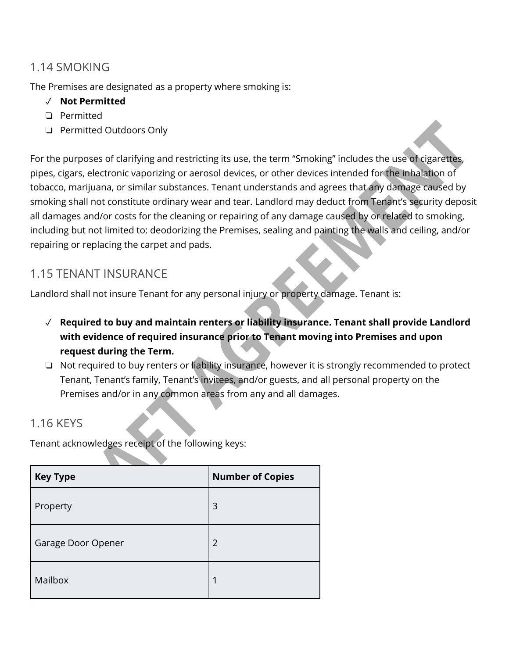#### 1.14 SMOKING

The Premises are designated as a property where smoking is:

#### ✓ **Not Permitted**

- ❏ Permitted
- ❏ Permitted Outdoors Only

For the purposes of clarifying and restricting its use, the term "Smoking" includes the use of cigarettes, pipes, cigars, electronic vaporizing or aerosol devices, or other devices intended for the inhalation of tobacco, marijuana, or similar substances. Tenant understands and agrees that any damage caused by smoking shall not constitute ordinary wear and tear. Landlord may deduct from Tenant's security deposit all damages and/or costs for the cleaning or repairing of any damage caused by or related to smoking, including but not limited to: deodorizing the Premises, sealing and painting the walls and ceiling, and/or repairing or replacing the carpet and pads.

#### 1.15 TENANT INSURANCE

Landlord shall not insure Tenant for any personal injury or property damage. Tenant is:

- ✓ **Required to buy and maintain renters or liability insurance. Tenant shall provide Landlord with evidence of required insurance prior to Tenant moving into Premises and upon request during the Term.**
- ❏ Not required to buy renters or liability insurance, however it is strongly recommended to protect Tenant, Tenant's family, Tenant's invitees, and/or guests, and all personal property on the Premises and/or in any common areas from any and all damages.

#### 1.16 KEYS

Tenant acknowledges receipt of the following keys:

| <b>Key Type</b>    | <b>Number of Copies</b> |  |  |
|--------------------|-------------------------|--|--|
| Property           | 3                       |  |  |
| Garage Door Opener | $\overline{2}$          |  |  |
| Mailbox            | 1                       |  |  |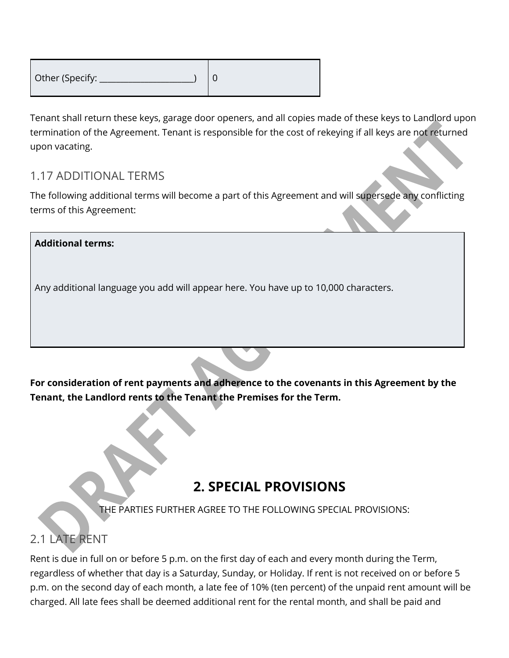| Other (Specify: |  |
|-----------------|--|
|                 |  |

Tenant shall return these keys, garage door openers, and all copies made of these keys to Landlord upon termination of the Agreement. Tenant is responsible for the cost of rekeying if all keys are not returned upon vacating.

#### 1.17 ADDITIONAL TERMS

The following additional terms will become a part of this Agreement and will supersede any conflicting terms of this Agreement:

# **Additional terms:**  Any additional language you add will appear here. You have up to 10,000 characters.

**For consideration of rent payments and adherence to the covenants in this Agreement by the Tenant, the Landlord rents to the Tenant the Premises for the Term.** 

## **2. SPECIAL PROVISIONS**

THE PARTIES FURTHER AGREE TO THE FOLLOWING SPECIAL PROVISIONS:

## 2.1 LATE RENT

Rent is due in full on or before 5 p.m. on the first day of each and every month during the Term, regardless of whether that day is a Saturday, Sunday, or Holiday. If rent is not received on or before 5 p.m. on the second day of each month, a late fee of 10% (ten percent) of the unpaid rent amount will be charged. All late fees shall be deemed additional rent for the rental month, and shall be paid and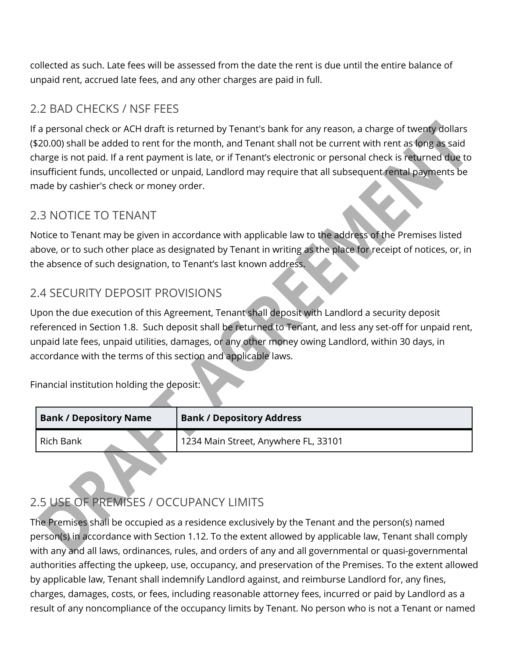collected as such. Late fees will be assessed from the date the rent is due until the entire balance of unpaid rent, accrued late fees, and any other charges are paid in full.

## 2.2 BAD CHECKS / NSF FEES

If a personal check or ACH draft is returned by Tenant's bank for any reason, a charge of twenty dollars (\$20.00) shall be added to rent for the month, and Tenant shall not be current with rent as long as said charge is not paid. If a rent payment is late, or if Tenant's electronic or personal check is returned due to insufficient funds, uncollected or unpaid, Landlord may require that all subsequent rental payments be made by cashier's check or money order.

#### 2.3 NOTICE TO TENANT

Notice to Tenant may be given in accordance with applicable law to the address of the Premises listed above, or to such other place as designated by Tenant in writing as the place for receipt of notices, or, in the absence of such designation, to Tenant's last known address.

## 2.4 SECURITY DEPOSIT PROVISIONS

Upon the due execution of this Agreement, Tenant shall deposit with Landlord a security deposit referenced in Section 1.8. Such deposit shall be returned to Tenant, and less any set-off for unpaid rent, unpaid late fees, unpaid utilities, damages, or any other money owing Landlord, within 30 days, in accordance with the terms of this section and applicable laws.

Financial institution holding the deposit:

| <b>Bank / Depository Name</b> | <b>Bank / Depository Address</b>     |
|-------------------------------|--------------------------------------|
| <b>Rich Bank</b>              | 1234 Main Street, Anywhere FL, 33101 |
|                               |                                      |

## 2.5 USE OF PREMISES / OCCUPANCY LIMITS

The Premises shall be occupied as a residence exclusively by the Tenant and the person(s) named person(s) in accordance with Section 1.12. To the extent allowed by applicable law, Tenant shall comply with any and all laws, ordinances, rules, and orders of any and all governmental or quasi-governmental authorities affecting the upkeep, use, occupancy, and preservation of the Premises. To the extent allowed by applicable law, Tenant shall indemnify Landlord against, and reimburse Landlord for, any fines, charges, damages, costs, or fees, including reasonable attorney fees, incurred or paid by Landlord as a result of any noncompliance of the occupancy limits by Tenant. No person who is not a Tenant or named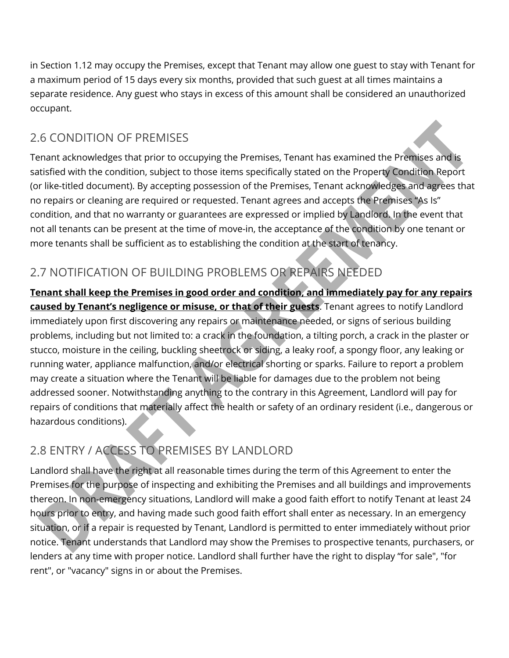in Section 1.12 may occupy the Premises, except that Tenant may allow one guest to stay with Tenant for a maximum period of 15 days every six months, provided that such guest at all times maintains a separate residence. Any guest who stays in excess of this amount shall be considered an unauthorized occupant.

## 2.6 CONDITION OF PREMISES

Tenant acknowledges that prior to occupying the Premises, Tenant has examined the Premises and is satisfied with the condition, subject to those items specifically stated on the Property Condition Report (or like-titled document). By accepting possession of the Premises, Tenant acknowledges and agrees that no repairs or cleaning are required or requested. Tenant agrees and accepts the Premises "As Is" condition, and that no warranty or guarantees are expressed or implied by Landlord. In the event that not all tenants can be present at the time of move-in, the acceptance of the condition by one tenant or more tenants shall be sufficient as to establishing the condition at the start of tenancy.

## 2.7 NOTIFICATION OF BUILDING PROBLEMS OR REPAIRS NEEDED

**Tenant shall keep the Premises in good order and condition, and immediately pay for any repairs caused by Tenant's negligence or misuse, or that of their guests**. Tenant agrees to notify Landlord immediately upon first discovering any repairs or maintenance needed, or signs of serious building problems, including but not limited to: a crack in the foundation, a tilting porch, a crack in the plaster or stucco, moisture in the ceiling, buckling sheetrock or siding, a leaky roof, a spongy floor, any leaking or running water, appliance malfunction, and/or electrical shorting or sparks. Failure to report a problem may create a situation where the Tenant will be liable for damages due to the problem not being addressed sooner. Notwithstanding anything to the contrary in this Agreement, Landlord will pay for repairs of conditions that materially affect the health or safety of an ordinary resident (i.e., dangerous or hazardous conditions).

## 2.8 ENTRY / ACCESS TO PREMISES BY LANDLORD

Landlord shall have the right at all reasonable times during the term of this Agreement to enter the Premises for the purpose of inspecting and exhibiting the Premises and all buildings and improvements thereon. In non-emergency situations, Landlord will make a good faith effort to notify Tenant at least 24 hours prior to entry, and having made such good faith effort shall enter as necessary. In an emergency situation, or if a repair is requested by Tenant, Landlord is permitted to enter immediately without prior notice. Tenant understands that Landlord may show the Premises to prospective tenants, purchasers, or lenders at any time with proper notice. Landlord shall further have the right to display "for sale", "for rent", or "vacancy" signs in or about the Premises.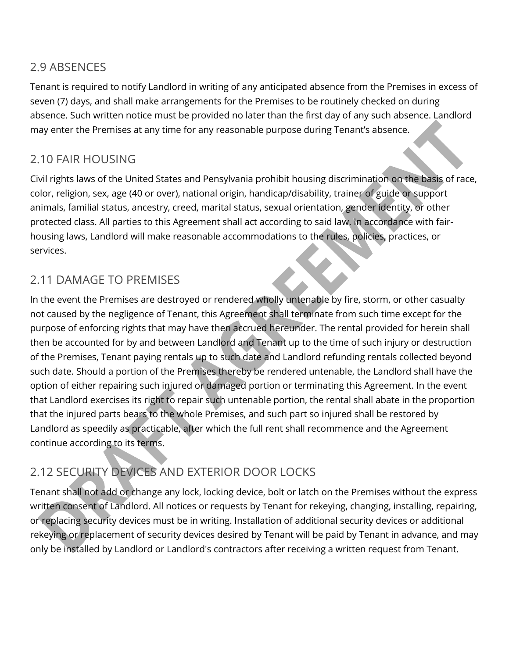#### 2.9 ABSENCES

Tenant is required to notify Landlord in writing of any anticipated absence from the Premises in excess of seven (7) days, and shall make arrangements for the Premises to be routinely checked on during absence. Such written notice must be provided no later than the first day of any such absence. Landlord may enter the Premises at any time for any reasonable purpose during Tenant's absence.

## 2.10 FAIR HOUSING

Civil rights laws of the United States and Pensylvania prohibit housing discrimination on the basis of race, color, religion, sex, age (40 or over), national origin, handicap/disability, trainer of guide or support animals, familial status, ancestry, creed, marital status, sexual orientation, gender identity, or other protected class. All parties to this Agreement shall act according to said law. In accordance with fairhousing laws, Landlord will make reasonable accommodations to the rules, policies, practices, or services.

## 2.11 DAMAGE TO PREMISES

In the event the Premises are destroyed or rendered wholly untenable by fire, storm, or other casualty not caused by the negligence of Tenant, this Agreement shall terminate from such time except for the purpose of enforcing rights that may have then accrued hereunder. The rental provided for herein shall then be accounted for by and between Landlord and Tenant up to the time of such injury or destruction of the Premises, Tenant paying rentals up to such date and Landlord refunding rentals collected beyond such date. Should a portion of the Premises thereby be rendered untenable, the Landlord shall have the option of either repairing such injured or damaged portion or terminating this Agreement. In the event that Landlord exercises its right to repair such untenable portion, the rental shall abate in the proportion that the injured parts bears to the whole Premises, and such part so injured shall be restored by Landlord as speedily as practicable, after which the full rent shall recommence and the Agreement continue according to its terms.

## 2.12 SECURITY DEVICES AND EXTERIOR DOOR LOCKS

Tenant shall not add or change any lock, locking device, bolt or latch on the Premises without the express written consent of Landlord. All notices or requests by Tenant for rekeying, changing, installing, repairing, or replacing security devices must be in writing. Installation of additional security devices or additional rekeying or replacement of security devices desired by Tenant will be paid by Tenant in advance, and may only be installed by Landlord or Landlord's contractors after receiving a written request from Tenant.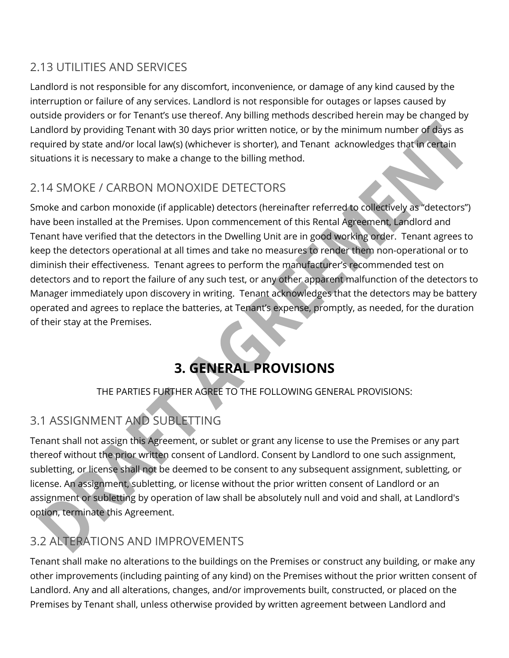## 2.13 UTILITIES AND SERVICES

Landlord is not responsible for any discomfort, inconvenience, or damage of any kind caused by the interruption or failure of any services. Landlord is not responsible for outages or lapses caused by outside providers or for Tenant's use thereof. Any billing methods described herein may be changed by Landlord by providing Tenant with 30 days prior written notice, or by the minimum number of days as required by state and/or local law(s) (whichever is shorter), and Tenant acknowledges that in certain situations it is necessary to make a change to the billing method.

## 2.14 SMOKE / CARBON MONOXIDE DETECTORS

Smoke and carbon monoxide (if applicable) detectors (hereinafter referred to collectively as "detectors") have been installed at the Premises. Upon commencement of this Rental Agreement, Landlord and Tenant have verified that the detectors in the Dwelling Unit are in good working order. Tenant agrees to keep the detectors operational at all times and take no measures to render them non-operational or to diminish their effectiveness. Tenant agrees to perform the manufacturer's recommended test on detectors and to report the failure of any such test, or any other apparent malfunction of the detectors to Manager immediately upon discovery in writing. Tenant acknowledges that the detectors may be battery operated and agrees to replace the batteries, at Tenant's expense, promptly, as needed, for the duration of their stay at the Premises.

# **3. GENERAL PROVISIONS**

#### THE PARTIES FURTHER AGREE TO THE FOLLOWING GENERAL PROVISIONS:

## 3.1 ASSIGNMENT AND SUBLETTING

Tenant shall not assign this Agreement, or sublet or grant any license to use the Premises or any part thereof without the prior written consent of Landlord. Consent by Landlord to one such assignment, subletting, or license shall not be deemed to be consent to any subsequent assignment, subletting, or license. An assignment, subletting, or license without the prior written consent of Landlord or an assignment or subletting by operation of law shall be absolutely null and void and shall, at Landlord's option, terminate this Agreement.

## 3.2 ALTERATIONS AND IMPROVEMENTS

Tenant shall make no alterations to the buildings on the Premises or construct any building, or make any other improvements (including painting of any kind) on the Premises without the prior written consent of Landlord. Any and all alterations, changes, and/or improvements built, constructed, or placed on the Premises by Tenant shall, unless otherwise provided by written agreement between Landlord and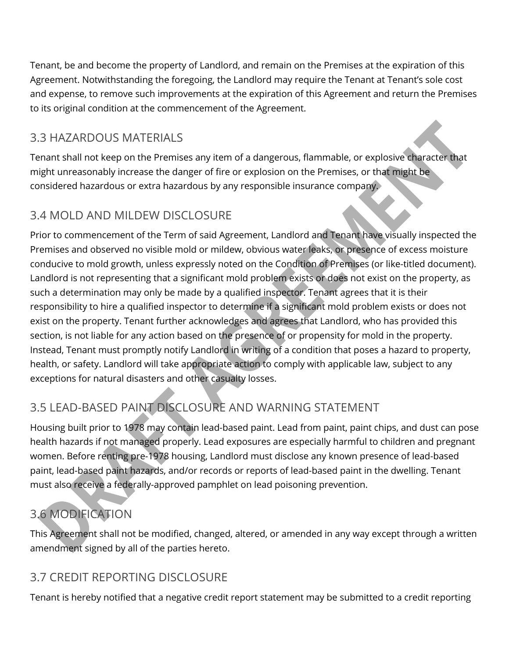Tenant, be and become the property of Landlord, and remain on the Premises at the expiration of this Agreement. Notwithstanding the foregoing, the Landlord may require the Tenant at Tenant's sole cost and expense, to remove such improvements at the expiration of this Agreement and return the Premises to its original condition at the commencement of the Agreement.

## 3.3 HAZARDOUS MATERIALS

Tenant shall not keep on the Premises any item of a dangerous, flammable, or explosive character that might unreasonably increase the danger of fire or explosion on the Premises, or that might be considered hazardous or extra hazardous by any responsible insurance company.

## 3.4 MOLD AND MILDEW DISCLOSURE

Prior to commencement of the Term of said Agreement, Landlord and Tenant have visually inspected the Premises and observed no visible mold or mildew, obvious water leaks, or presence of excess moisture conducive to mold growth, unless expressly noted on the Condition of Premises (or like-titled document). Landlord is not representing that a significant mold problem exists or does not exist on the property, as such a determination may only be made by a qualified inspector. Tenant agrees that it is their responsibility to hire a qualified inspector to determine if a significant mold problem exists or does not exist on the property. Tenant further acknowledges and agrees that Landlord, who has provided this section, is not liable for any action based on the presence of or propensity for mold in the property. Instead, Tenant must promptly notify Landlord in writing of a condition that poses a hazard to property, health, or safety. Landlord will take appropriate action to comply with applicable law, subject to any exceptions for natural disasters and other casualty losses.

## 3.5 LEAD-BASED PAINT DISCLOSURE AND WARNING STATEMENT

Housing built prior to 1978 may contain lead-based paint. Lead from paint, paint chips, and dust can pose health hazards if not managed properly. Lead exposures are especially harmful to children and pregnant women. Before renting pre-1978 housing, Landlord must disclose any known presence of lead-based paint, lead-based paint hazards, and/or records or reports of lead-based paint in the dwelling. Tenant must also receive a federally-approved pamphlet on lead poisoning prevention.

## 3.6 MODIFICATION

This Agreement shall not be modified, changed, altered, or amended in any way except through a written amendment signed by all of the parties hereto.

## 3.7 CREDIT REPORTING DISCLOSURE

Tenant is hereby notified that a negative credit report statement may be submitted to a credit reporting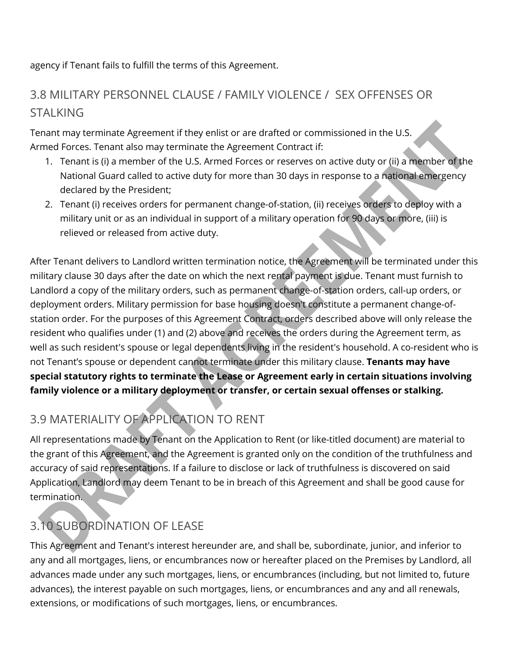agency if Tenant fails to fulfill the terms of this Agreement.

## 3.8 MILITARY PERSONNEL CLAUSE / FAMILY VIOLENCE / SEX OFFENSES OR STALKING

Tenant may terminate Agreement if they enlist or are drafted or commissioned in the U.S. Armed Forces. Tenant also may terminate the Agreement Contract if:

- 1. Tenant is (i) a member of the U.S. Armed Forces or reserves on active duty or (ii) a member of the National Guard called to active duty for more than 30 days in response to a national emergency declared by the President;
- 2. Tenant (i) receives orders for permanent change-of-station, (ii) receives orders to deploy with a military unit or as an individual in support of a military operation for 90 days or more, (iii) is relieved or released from active duty.

After Tenant delivers to Landlord written termination notice, the Agreement will be terminated under this military clause 30 days after the date on which the next rental payment is due. Tenant must furnish to Landlord a copy of the military orders, such as permanent change-of-station orders, call-up orders, or deployment orders. Military permission for base housing doesn't constitute a permanent change-ofstation order. For the purposes of this Agreement Contract, orders described above will only release the resident who qualifies under (1) and (2) above and receives the orders during the Agreement term, as well as such resident's spouse or legal dependents living in the resident's household. A co-resident who is not Tenant's spouse or dependent cannot terminate under this military clause. **Tenants may have special statutory rights to terminate the Lease or Agreement early in certain situations involving family violence or a military deployment or transfer, or certain sexual offenses or stalking.** 

## 3.9 MATERIALITY OF APPLICATION TO RENT

All representations made by Tenant on the Application to Rent (or like-titled document) are material to the grant of this Agreement, and the Agreement is granted only on the condition of the truthfulness and accuracy of said representations. If a failure to disclose or lack of truthfulness is discovered on said Application, Landlord may deem Tenant to be in breach of this Agreement and shall be good cause for termination.

## 3.10 SUBORDINATION OF LEASE

This Agreement and Tenant's interest hereunder are, and shall be, subordinate, junior, and inferior to any and all mortgages, liens, or encumbrances now or hereafter placed on the Premises by Landlord, all advances made under any such mortgages, liens, or encumbrances (including, but not limited to, future advances), the interest payable on such mortgages, liens, or encumbrances and any and all renewals, extensions, or modifications of such mortgages, liens, or encumbrances.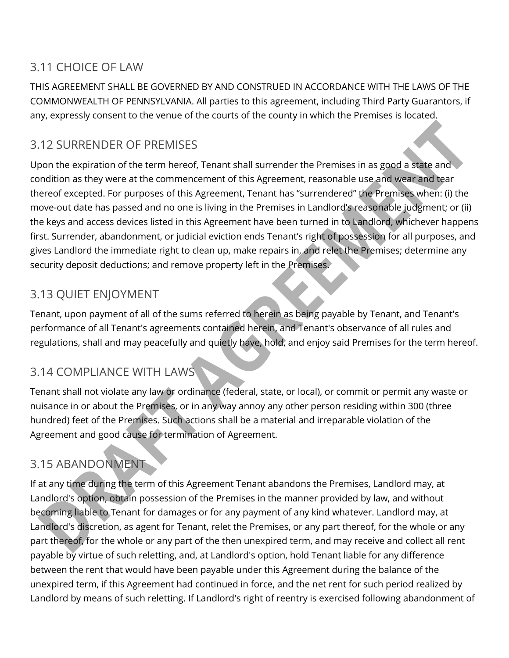## 3.11 CHOICE OF LAW

THIS AGREEMENT SHALL BE GOVERNED BY AND CONSTRUED IN ACCORDANCE WITH THE LAWS OF THE COMMONWEALTH OF PENNSYLVANIA. All parties to this agreement, including Third Party Guarantors, if any, expressly consent to the venue of the courts of the county in which the Premises is located.

## 3.12 SURRENDER OF PREMISES

Upon the expiration of the term hereof, Tenant shall surrender the Premises in as good a state and condition as they were at the commencement of this Agreement, reasonable use and wear and tear thereof excepted. For purposes of this Agreement, Tenant has "surrendered" the Premises when: (i) the move-out date has passed and no one is living in the Premises in Landlord's reasonable judgment; or (ii) the keys and access devices listed in this Agreement have been turned in to Landlord, whichever happens first. Surrender, abandonment, or judicial eviction ends Tenant's right of possession for all purposes, and gives Landlord the immediate right to clean up, make repairs in, and relet the Premises; determine any security deposit deductions; and remove property left in the Premises.

## 3.13 QUIET ENJOYMENT

Tenant, upon payment of all of the sums referred to herein as being payable by Tenant, and Tenant's performance of all Tenant's agreements contained herein, and Tenant's observance of all rules and regulations, shall and may peacefully and quietly have, hold, and enjoy said Premises for the term hereof.

## 3.14 COMPLIANCE WITH LAWS

Tenant shall not violate any law or ordinance (federal, state, or local), or commit or permit any waste or nuisance in or about the Premises, or in any way annoy any other person residing within 300 (three hundred) feet of the Premises. Such actions shall be a material and irreparable violation of the Agreement and good cause for termination of Agreement.

## 3.15 ABANDONMENT

If at any time during the term of this Agreement Tenant abandons the Premises, Landlord may, at Landlord's option, obtain possession of the Premises in the manner provided by law, and without becoming liable to Tenant for damages or for any payment of any kind whatever. Landlord may, at Landlord's discretion, as agent for Tenant, relet the Premises, or any part thereof, for the whole or any part thereof, for the whole or any part of the then unexpired term, and may receive and collect all rent payable by virtue of such reletting, and, at Landlord's option, hold Tenant liable for any difference between the rent that would have been payable under this Agreement during the balance of the unexpired term, if this Agreement had continued in force, and the net rent for such period realized by Landlord by means of such reletting. If Landlord's right of reentry is exercised following abandonment of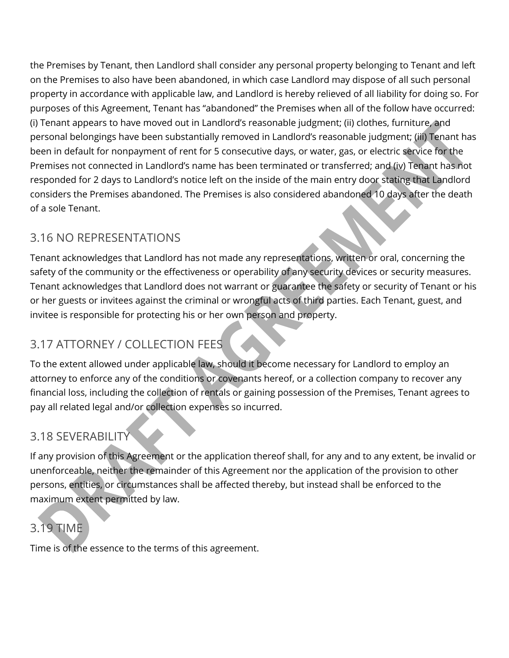the Premises by Tenant, then Landlord shall consider any personal property belonging to Tenant and left on the Premises to also have been abandoned, in which case Landlord may dispose of all such personal property in accordance with applicable law, and Landlord is hereby relieved of all liability for doing so. For purposes of this Agreement, Tenant has "abandoned" the Premises when all of the follow have occurred: (i) Tenant appears to have moved out in Landlord's reasonable judgment; (ii) clothes, furniture, and personal belongings have been substantially removed in Landlord's reasonable judgment; (iii) Tenant has been in default for nonpayment of rent for 5 consecutive days, or water, gas, or electric service for the Premises not connected in Landlord's name has been terminated or transferred; and (iv) Tenant has not responded for 2 days to Landlord's notice left on the inside of the main entry door stating that Landlord considers the Premises abandoned. The Premises is also considered abandoned 10 days after the death of a sole Tenant.

## 3.16 NO REPRESENTATIONS

Tenant acknowledges that Landlord has not made any representations, written or oral, concerning the safety of the community or the effectiveness or operability of any security devices or security measures. Tenant acknowledges that Landlord does not warrant or guarantee the safety or security of Tenant or his or her guests or invitees against the criminal or wrongful acts of third parties. Each Tenant, guest, and invitee is responsible for protecting his or her own person and property.

## 3.17 ATTORNEY / COLLECTION FEES

To the extent allowed under applicable law, should it become necessary for Landlord to employ an attorney to enforce any of the conditions or covenants hereof, or a collection company to recover any financial loss, including the collection of rentals or gaining possession of the Premises, Tenant agrees to pay all related legal and/or collection expenses so incurred.

## 3.18 SEVERABILITY

If any provision of this Agreement or the application thereof shall, for any and to any extent, be invalid or unenforceable, neither the remainder of this Agreement nor the application of the provision to other persons, entities, or circumstances shall be affected thereby, but instead shall be enforced to the maximum extent permitted by law.

# 3.19 TIME

Time is of the essence to the terms of this agreement.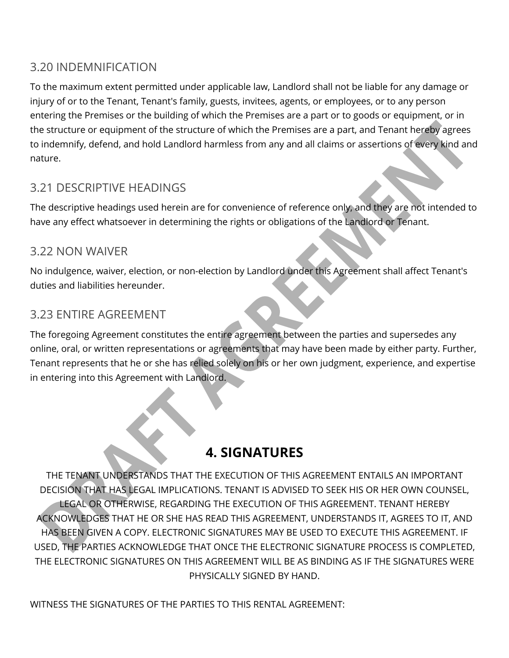## 3.20 INDEMNIFICATION

To the maximum extent permitted under applicable law, Landlord shall not be liable for any damage or injury of or to the Tenant, Tenant's family, guests, invitees, agents, or employees, or to any person entering the Premises or the building of which the Premises are a part or to goods or equipment, or in the structure or equipment of the structure of which the Premises are a part, and Tenant hereby agrees to indemnify, defend, and hold Landlord harmless from any and all claims or assertions of every kind and nature.

## 3.21 DESCRIPTIVE HEADINGS

The descriptive headings used herein are for convenience of reference only, and they are not intended to have any effect whatsoever in determining the rights or obligations of the Landlord or Tenant.

#### 3.22 NON WAIVER

No indulgence, waiver, election, or non-election by Landlord under this Agreement shall affect Tenant's duties and liabilities hereunder.

#### 3.23 ENTIRE AGREEMENT

The foregoing Agreement constitutes the entire agreement between the parties and supersedes any online, oral, or written representations or agreements that may have been made by either party. Further, Tenant represents that he or she has relied solely on his or her own judgment, experience, and expertise in entering into this Agreement with Landlord.

## **4. SIGNATURES**

THE TENANT UNDERSTANDS THAT THE EXECUTION OF THIS AGREEMENT ENTAILS AN IMPORTANT DECISION THAT HAS LEGAL IMPLICATIONS. TENANT IS ADVISED TO SEEK HIS OR HER OWN COUNSEL, LEGAL OR OTHERWISE, REGARDING THE EXECUTION OF THIS AGREEMENT. TENANT HEREBY ACKNOWLEDGES THAT HE OR SHE HAS READ THIS AGREEMENT, UNDERSTANDS IT, AGREES TO IT, AND HAS BEEN GIVEN A COPY. ELECTRONIC SIGNATURES MAY BE USED TO EXECUTE THIS AGREEMENT. IF USED, THE PARTIES ACKNOWLEDGE THAT ONCE THE ELECTRONIC SIGNATURE PROCESS IS COMPLETED, THE ELECTRONIC SIGNATURES ON THIS AGREEMENT WILL BE AS BINDING AS IF THE SIGNATURES WERE PHYSICALLY SIGNED BY HAND.

WITNESS THE SIGNATURES OF THE PARTIES TO THIS RENTAL AGREEMENT: